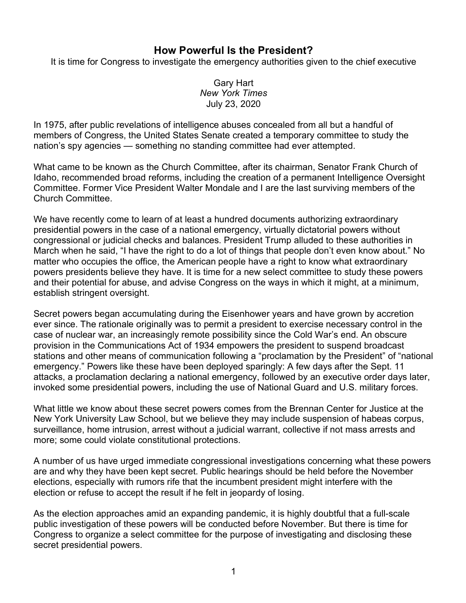## **How Powerful Is the President?**

It is time for Congress to investigate the emergency authorities given to the chief executive

Gary Hart *New York Times* July 23, 2020

In 1975, after public revelations of intelligence abuses concealed from all but a handful of members of Congress, the United States Senate created a temporary committee to study the nation's spy agencies — something no standing committee had ever attempted.

What came to be known as the Church Committee, after its chairman, Senator Frank Church of Idaho, recommended broad reforms, including the creation of a permanent Intelligence Oversight Committee. Former Vice President Walter Mondale and I are the last surviving members of the Church Committee.

We have recently come to learn of at least a hundred documents authorizing extraordinary presidential powers in the case of a national emergency, virtually dictatorial powers without congressional or judicial checks and balances. President Trump alluded to these authorities in March when he said, "I have the right to do a lot of things that people don't even know about." No matter who occupies the office, the American people have a right to know what extraordinary powers presidents believe they have. It is time for a new select committee to study these powers and their potential for abuse, and advise Congress on the ways in which it might, at a minimum, establish stringent oversight.

Secret powers began accumulating during the Eisenhower years and have grown by accretion ever since. The rationale originally was to permit a president to exercise necessary control in the case of nuclear war, an increasingly remote possibility since the Cold War's end. An obscure provision in the Communications Act of 1934 empowers the president to suspend broadcast stations and other means of communication following a "proclamation by the President" of "national emergency." Powers like these have been deployed sparingly: A few days after the Sept. 11 attacks, a proclamation declaring a national emergency, followed by an executive order days later, invoked some presidential powers, including the use of National Guard and U.S. military forces.

What little we know about these secret powers comes from the Brennan Center for Justice at the New York University Law School, but we believe they may include suspension of habeas corpus, surveillance, home intrusion, arrest without a judicial warrant, collective if not mass arrests and more; some could violate constitutional protections.

A number of us have urged immediate congressional investigations concerning what these powers are and why they have been kept secret. Public hearings should be held before the November elections, especially with rumors rife that the incumbent president might interfere with the election or refuse to accept the result if he felt in jeopardy of losing.

As the election approaches amid an expanding pandemic, it is highly doubtful that a full-scale public investigation of these powers will be conducted before November. But there is time for Congress to organize a select committee for the purpose of investigating and disclosing these secret presidential powers.